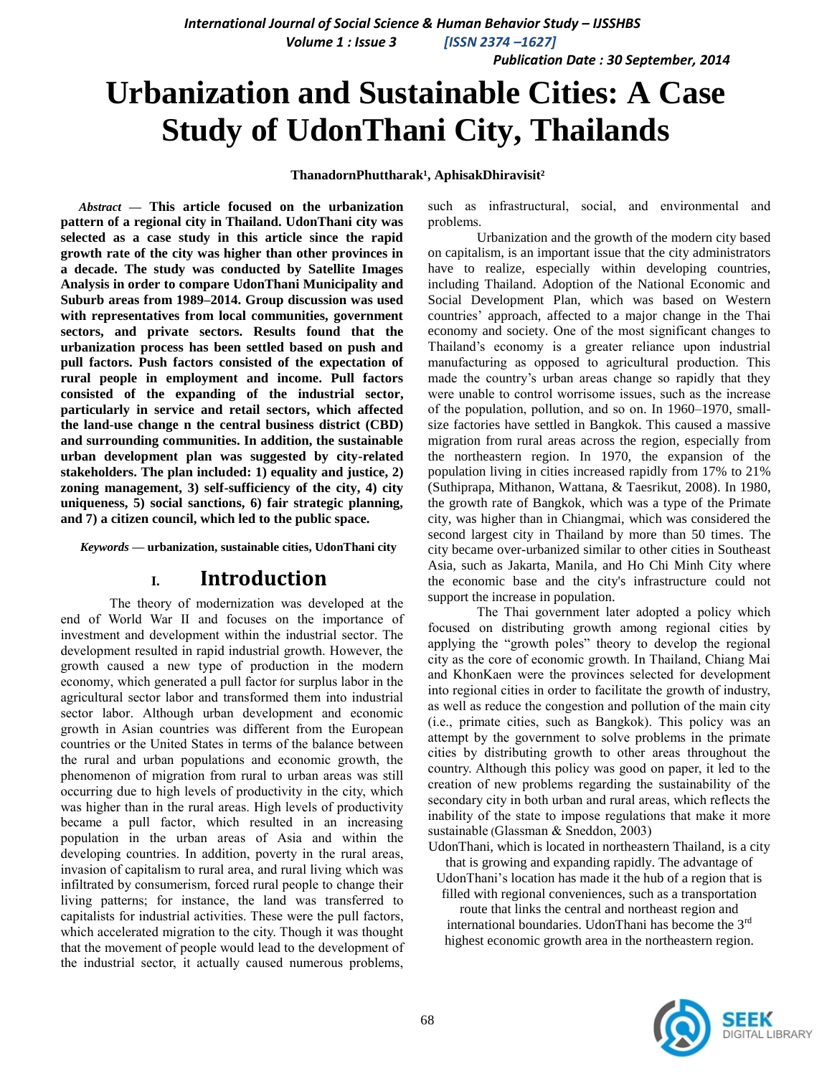*Publication Date : 30 September, 2014*

# **Urbanization and Sustainable Cities: A Case Study of UdonThani City, Thailands**

#### ThanadornPhuttharak<sup>1</sup>, AphisakDhiravisit<sup>2</sup>

*Abstract* **— This article focused on the urbanization pattern of a regional city in Thailand. UdonThani city was selected as a case study in this article since the rapid growth rate of the city was higher than other provinces in a decade. The study was conducted by Satellite Images Analysis in order to compare UdonThani Municipality and Suburb areas from 1989–2014. Group discussion was used with representatives from local communities, government sectors, and private sectors. Results found that the urbanization process has been settled based on push and pull factors. Push factors consisted of the expectation of rural people in employment and income. Pull factors consisted of the expanding of the industrial sector, particularly in service and retail sectors, which affected the land-use change n the central business district (CBD) and surrounding communities. In addition, the sustainable urban development plan was suggested by city-related stakeholders. The plan included: 1) equality and justice, 2) zoning management, 3) self-sufficiency of the city, 4) city uniqueness, 5) social sanctions, 6) fair strategic planning, and 7) a citizen council, which led to the public space.**

*Keywords —* **urbanization, sustainable cities, UdonThani city**

## **I. Introduction**

The theory of modernization was developed at the end of World War II and focuses on the importance of investment and development within the industrial sector. The development resulted in rapid industrial growth. However, the growth caused a new type of production in the modern economy, which generated a pull factor for surplus labor in the agricultural sector labor and transformed them into industrial sector labor. Although urban development and economic growth in Asian countries was different from the European countries or the United States in terms of the balance between the rural and urban populations and economic growth, the phenomenon of migration from rural to urban areas was still occurring due to high levels of productivity in the city, which was higher than in the rural areas. High levels of productivity became a pull factor, which resulted in an increasing population in the urban areas of Asia and within the developing countries. In addition, poverty in the rural areas, invasion of capitalism to rural area, and rural living which was infiltrated by consumerism, forced rural people to change their living patterns; for instance, the land was transferred to capitalists for industrial activities. These were the pull factors, which accelerated migration to the city. Though it was thought that the movement of people would lead to the development of the industrial sector, it actually caused numerous problems,

such as infrastructural, social, and environmental and problems.

Urbanization and the growth of the modern city based on capitalism, is an important issue that the city administrators have to realize, especially within developing countries, including Thailand. Adoption of the National Economic and Social Development Plan, which was based on Western countries' approach, affected to a major change in the Thai economy and society. One of the most significant changes to Thailand's economy is a greater reliance upon industrial manufacturing as opposed to agricultural production. This made the country's urban areas change so rapidly that they were unable to control worrisome issues, such as the increase of the population, pollution, and so on. In 1960–1970, smallsize factories have settled in Bangkok. This caused a massive migration from rural areas across the region, especially from the northeastern region. In 1970, the expansion of the population living in cities increased rapidly from 17% to 21% (Suthiprapa, Mithanon, Wattana, & Taesrikut, 2008). In 1980, the growth rate of Bangkok, which was a type of the Primate city, was higher than in Chiangmai, which was considered the second largest city in Thailand by more than 50 times. The city became over-urbanized similar to other cities in Southeast Asia, such as Jakarta, Manila, and Ho Chi Minh City where the economic base and the city's infrastructure could not support the increase in population.

The Thai government later adopted a policy which focused on distributing growth among regional cities by applying the "growth poles" theory to develop the regional city as the core of economic growth. In Thailand, Chiang Mai and KhonKaen were the provinces selected for development into regional cities in order to facilitate the growth of industry, as well as reduce the congestion and pollution of the main city (i.e., primate cities, such as Bangkok). This policy was an attempt by the government to solve problems in the primate cities by distributing growth to other areas throughout the country. Although this policy was good on paper, it led to the creation of new problems regarding the sustainability of the secondary city in both urban and rural areas, which reflects the inability of the state to impose regulations that make it more sustainable (Glassman & Sneddon, 2003)

UdonThani, which is located in northeastern Thailand, is a city that is growing and expanding rapidly. The advantage of

UdonThani's location has made it the hub of a region that is filled with regional conveniences, such as a transportation

route that links the central and northeast region and international boundaries. UdonThani has become the 3rd highest economic growth area in the northeastern region.

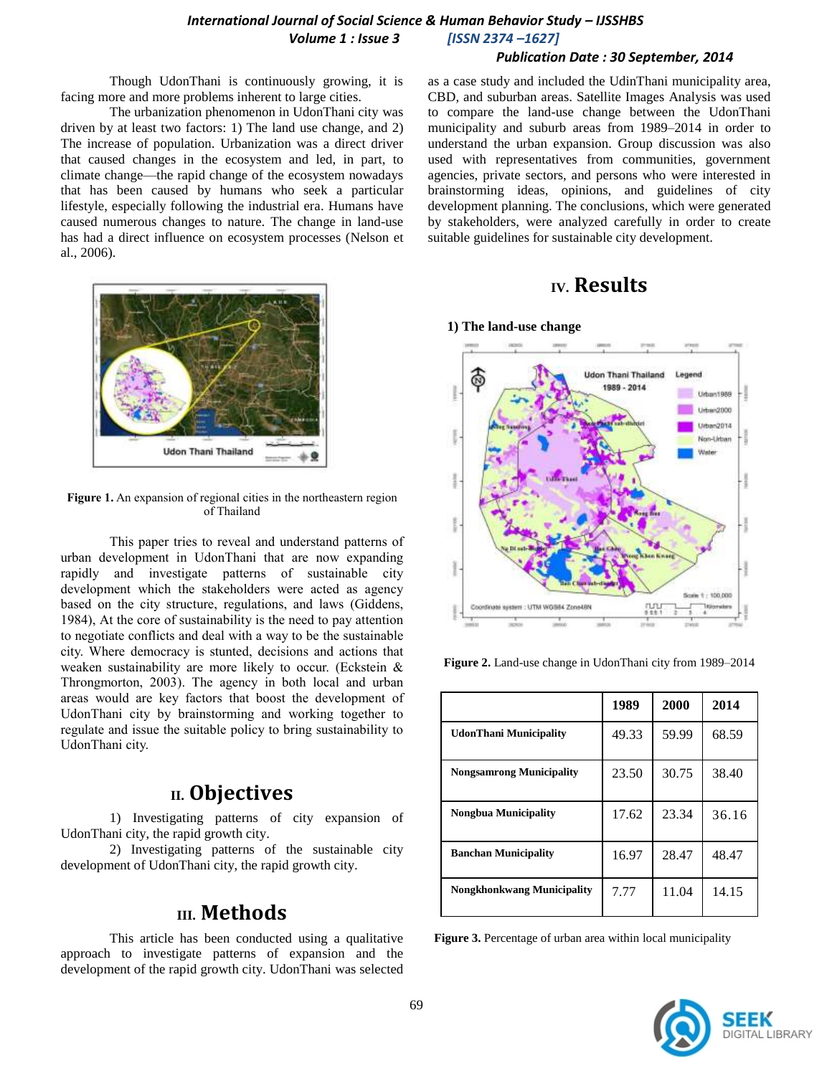#### *Publication Date : 30 September, 2014*

Though UdonThani is continuously growing, it is facing more and more problems inherent to large cities.

The urbanization phenomenon in UdonThani city was driven by at least two factors: 1) The land use change, and 2) The increase of population. Urbanization was a direct driver that caused changes in the ecosystem and led, in part, to climate change—the rapid change of the ecosystem nowadays that has been caused by humans who seek a particular lifestyle, especially following the industrial era. Humans have caused numerous changes to nature. The change in land-use has had a direct influence on ecosystem processes (Nelson et al., 2006).



**Figure 1.** An expansion of regional cities in the northeastern region of Thailand

This paper tries to reveal and understand patterns of urban development in UdonThani that are now expanding rapidly and investigate patterns of sustainable city development which the stakeholders were acted as agency based on the city structure, regulations, and laws (Giddens, 1984), At the core of sustainability is the need to pay attention to negotiate conflicts and deal with a way to be the sustainable city. Where democracy is stunted, decisions and actions that weaken sustainability are more likely to occur. (Eckstein & Throngmorton, 2003). The agency in both local and urban areas would are key factors that boost the development of UdonThani city by brainstorming and working together to regulate and issue the suitable policy to bring sustainability to UdonThani city.

## **II. Objectives**

1) Investigating patterns of city expansion of UdonThani city, the rapid growth city.

2) Investigating patterns of the sustainable city development of UdonThani city, the rapid growth city.

## **III. Methods**

This article has been conducted using a qualitative approach to investigate patterns of expansion and the development of the rapid growth city. UdonThani was selected

as a case study and included the UdinThani municipality area, CBD, and suburban areas. Satellite Images Analysis was used to compare the land-use change between the UdonThani municipality and suburb areas from 1989–2014 in order to understand the urban expansion. Group discussion was also used with representatives from communities, government agencies, private sectors, and persons who were interested in brainstorming ideas, opinions, and guidelines of city development planning. The conclusions, which were generated by stakeholders, were analyzed carefully in order to create suitable guidelines for sustainable city development.

# **IV. Results**



**Figure 2.** Land-use change in UdonThani city from 1989–2014

|                                   | 1989  | 2000  | 2014  |
|-----------------------------------|-------|-------|-------|
| <b>UdonThani Municipality</b>     | 49.33 | 59.99 | 68.59 |
| <b>Nongsamrong Municipality</b>   | 23.50 | 30.75 | 38.40 |
| Nongbua Municipality              | 17.62 | 23.34 | 36.16 |
| <b>Banchan Municipality</b>       | 16.97 | 28.47 | 48.47 |
| <b>Nongkhonkwang Municipality</b> | 7.77  | 11.04 | 14.15 |

 **Figure 3.** Percentage of urban area within local municipality

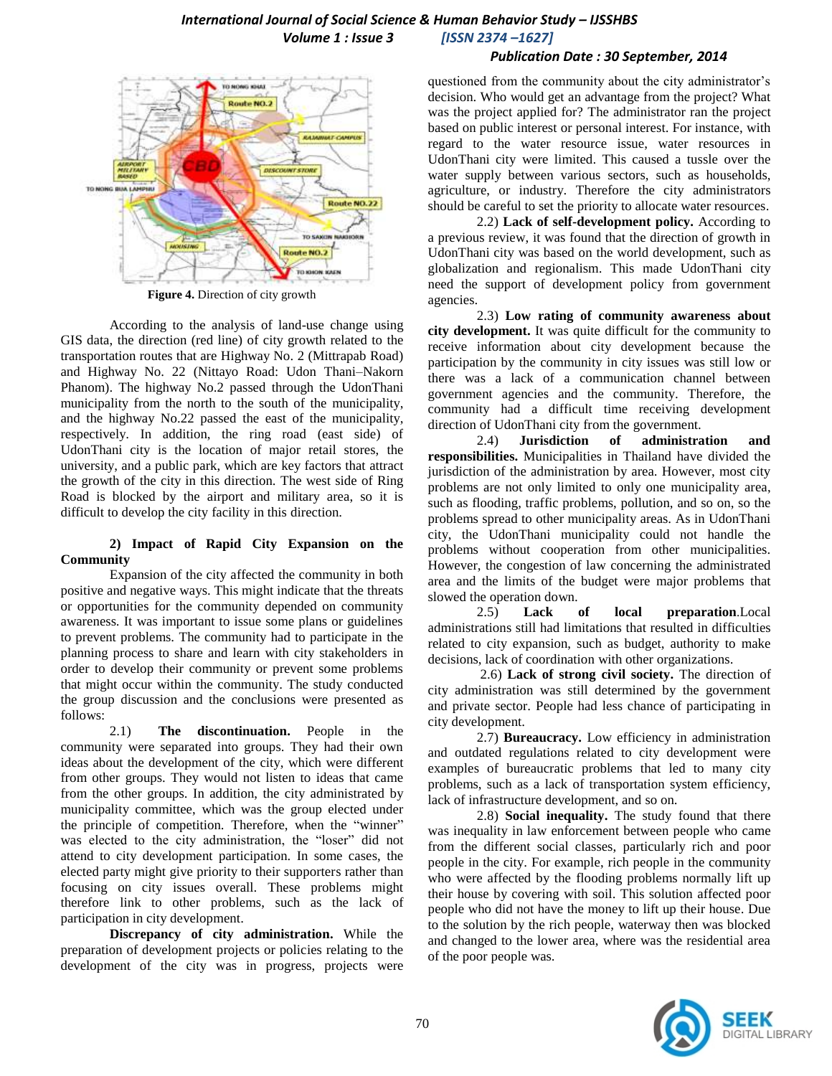### *International Journal of Social Science & Human Behavior Study – IJSSHBS Volume 1 : Issue 3 [ISSN 2374 –1627]*

#### *Publication Date : 30 September, 2014*



**Figure 4.** Direction of city growth

According to the analysis of land-use change using GIS data, the direction (red line) of city growth related to the transportation routes that are Highway No. 2 (Mittrapab Road) and Highway No. 22 (Nittayo Road: Udon Thani–Nakorn Phanom). The highway No.2 passed through the UdonThani municipality from the north to the south of the municipality, and the highway No.22 passed the east of the municipality, respectively. In addition, the ring road (east side) of UdonThani city is the location of major retail stores, the university, and a public park, which are key factors that attract the growth of the city in this direction. The west side of Ring Road is blocked by the airport and military area, so it is difficult to develop the city facility in this direction.

#### **2) Impact of Rapid City Expansion on the Community**

Expansion of the city affected the community in both positive and negative ways. This might indicate that the threats or opportunities for the community depended on community awareness. It was important to issue some plans or guidelines to prevent problems. The community had to participate in the planning process to share and learn with city stakeholders in order to develop their community or prevent some problems that might occur within the community. The study conducted the group discussion and the conclusions were presented as follows:

2.1) **The discontinuation.** People in the community were separated into groups. They had their own ideas about the development of the city, which were different from other groups. They would not listen to ideas that came from the other groups. In addition, the city administrated by municipality committee, which was the group elected under the principle of competition. Therefore, when the "winner" was elected to the city administration, the "loser" did not attend to city development participation. In some cases, the elected party might give priority to their supporters rather than focusing on city issues overall. These problems might therefore link to other problems, such as the lack of participation in city development.

**Discrepancy of city administration.** While the preparation of development projects or policies relating to the development of the city was in progress, projects were questioned from the community about the city administrator's decision. Who would get an advantage from the project? What was the project applied for? The administrator ran the project based on public interest or personal interest. For instance, with regard to the water resource issue, water resources in UdonThani city were limited. This caused a tussle over the water supply between various sectors, such as households, agriculture, or industry. Therefore the city administrators should be careful to set the priority to allocate water resources.

2.2) **Lack of self-development policy.** According to a previous review, it was found that the direction of growth in UdonThani city was based on the world development, such as globalization and regionalism. This made UdonThani city need the support of development policy from government agencies.

2.3) **Low rating of community awareness about city development.** It was quite difficult for the community to receive information about city development because the participation by the community in city issues was still low or there was a lack of a communication channel between government agencies and the community. Therefore, the community had a difficult time receiving development direction of UdonThani city from the government.

2.4) **Jurisdiction of administration and responsibilities.** Municipalities in Thailand have divided the jurisdiction of the administration by area. However, most city problems are not only limited to only one municipality area, such as flooding, traffic problems, pollution, and so on, so the problems spread to other municipality areas. As in UdonThani city, the UdonThani municipality could not handle the problems without cooperation from other municipalities. However, the congestion of law concerning the administrated area and the limits of the budget were major problems that slowed the operation down.

2.5) **Lack of local preparation**.Local administrations still had limitations that resulted in difficulties related to city expansion, such as budget, authority to make decisions, lack of coordination with other organizations.

2.6) **Lack of strong civil society.** The direction of city administration was still determined by the government and private sector. People had less chance of participating in city development.

2.7) **Bureaucracy.** Low efficiency in administration and outdated regulations related to city development were examples of bureaucratic problems that led to many city problems, such as a lack of transportation system efficiency, lack of infrastructure development, and so on.

2.8) **Social inequality.** The study found that there was inequality in law enforcement between people who came from the different social classes, particularly rich and poor people in the city. For example, rich people in the community who were affected by the flooding problems normally lift up their house by covering with soil. This solution affected poor people who did not have the money to lift up their house. Due to the solution by the rich people, waterway then was blocked and changed to the lower area, where was the residential area of the poor people was.

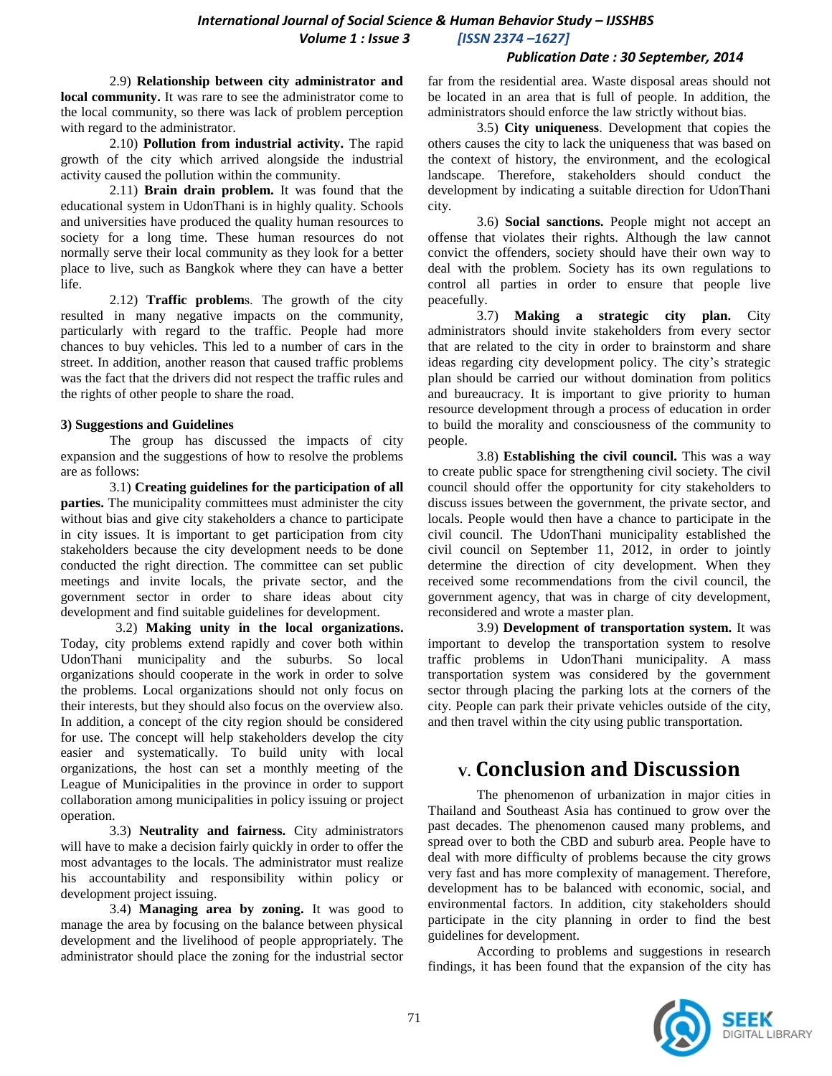#### *Publication Date : 30 September, 2014*

2.9) **Relationship between city administrator and local community.** It was rare to see the administrator come to the local community, so there was lack of problem perception with regard to the administrator.

2.10) **Pollution from industrial activity.** The rapid growth of the city which arrived alongside the industrial activity caused the pollution within the community.

2.11) **Brain drain problem.** It was found that the educational system in UdonThani is in highly quality. Schools and universities have produced the quality human resources to society for a long time. These human resources do not normally serve their local community as they look for a better place to live, such as Bangkok where they can have a better life.

2.12) **Traffic problem**s. The growth of the city resulted in many negative impacts on the community, particularly with regard to the traffic. People had more chances to buy vehicles. This led to a number of cars in the street. In addition, another reason that caused traffic problems was the fact that the drivers did not respect the traffic rules and the rights of other people to share the road.

#### **3) Suggestions and Guidelines**

The group has discussed the impacts of city expansion and the suggestions of how to resolve the problems are as follows:

3.1) **Creating guidelines for the participation of all parties.** The municipality committees must administer the city without bias and give city stakeholders a chance to participate in city issues. It is important to get participation from city stakeholders because the city development needs to be done conducted the right direction. The committee can set public meetings and invite locals, the private sector, and the government sector in order to share ideas about city development and find suitable guidelines for development.

3.2) **Making unity in the local organizations.** Today, city problems extend rapidly and cover both within UdonThani municipality and the suburbs. So local organizations should cooperate in the work in order to solve the problems. Local organizations should not only focus on their interests, but they should also focus on the overview also. In addition, a concept of the city region should be considered for use. The concept will help stakeholders develop the city easier and systematically. To build unity with local organizations, the host can set a monthly meeting of the League of Municipalities in the province in order to support collaboration among municipalities in policy issuing or project operation.

3.3) **Neutrality and fairness.** City administrators will have to make a decision fairly quickly in order to offer the most advantages to the locals. The administrator must realize his accountability and responsibility within policy or development project issuing.

3.4) **Managing area by zoning.** It was good to manage the area by focusing on the balance between physical development and the livelihood of people appropriately. The administrator should place the zoning for the industrial sector

far from the residential area. Waste disposal areas should not be located in an area that is full of people. In addition, the administrators should enforce the law strictly without bias.

3.5) **City uniqueness**. Development that copies the others causes the city to lack the uniqueness that was based on the context of history, the environment, and the ecological landscape. Therefore, stakeholders should conduct the development by indicating a suitable direction for UdonThani city.

3.6) **Social sanctions.** People might not accept an offense that violates their rights. Although the law cannot convict the offenders, society should have their own way to deal with the problem. Society has its own regulations to control all parties in order to ensure that people live peacefully.

3.7) **Making a strategic city plan.** City administrators should invite stakeholders from every sector that are related to the city in order to brainstorm and share ideas regarding city development policy. The city's strategic plan should be carried our without domination from politics and bureaucracy. It is important to give priority to human resource development through a process of education in order to build the morality and consciousness of the community to people.

3.8) **Establishing the civil council.** This was a way to create public space for strengthening civil society. The civil council should offer the opportunity for city stakeholders to discuss issues between the government, the private sector, and locals. People would then have a chance to participate in the civil council. The UdonThani municipality established the civil council on September 11, 2012, in order to jointly determine the direction of city development. When they received some recommendations from the civil council, the government agency, that was in charge of city development, reconsidered and wrote a master plan.

3.9) **Development of transportation system.** It was important to develop the transportation system to resolve traffic problems in UdonThani municipality. A mass transportation system was considered by the government sector through placing the parking lots at the corners of the city. People can park their private vehicles outside of the city, and then travel within the city using public transportation.

# **V. Conclusion and Discussion**

The phenomenon of urbanization in major cities in Thailand and Southeast Asia has continued to grow over the past decades. The phenomenon caused many problems, and spread over to both the CBD and suburb area. People have to deal with more difficulty of problems because the city grows very fast and has more complexity of management. Therefore, development has to be balanced with economic, social, and environmental factors. In addition, city stakeholders should participate in the city planning in order to find the best guidelines for development.

According to problems and suggestions in research findings, it has been found that the expansion of the city has